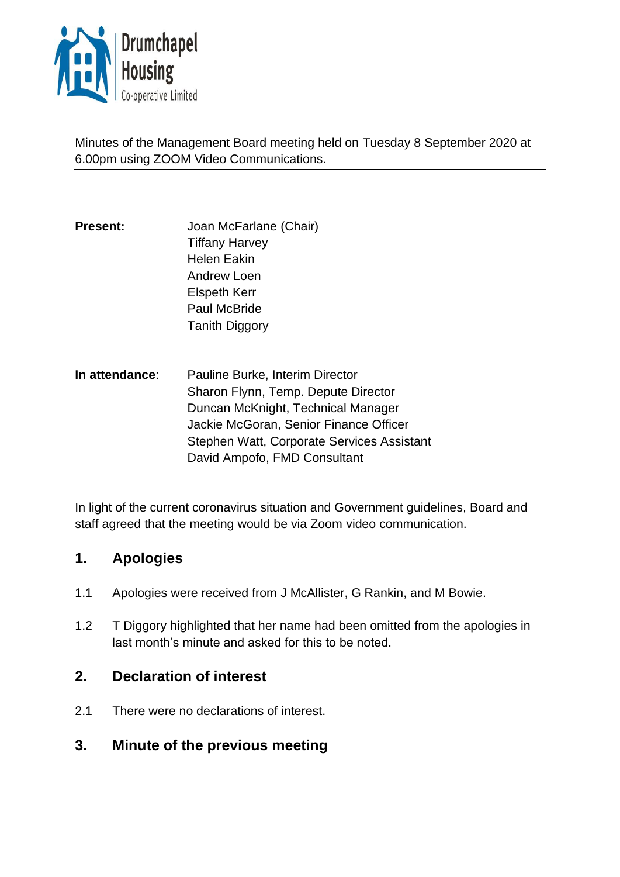

Minutes of the Management Board meeting held on Tuesday 8 September 2020 at 6.00pm using ZOOM Video Communications.

- **Present:** Joan McFarlane (Chair) Tiffany Harvey Helen Eakin Andrew Loen Elspeth Kerr Paul McBride **Tanith Diggory**
- **In attendance**: Pauline Burke, Interim Director Sharon Flynn, Temp. Depute Director Duncan McKnight, Technical Manager Jackie McGoran, Senior Finance Officer Stephen Watt, Corporate Services Assistant David Ampofo, FMD Consultant

In light of the current coronavirus situation and Government guidelines, Board and staff agreed that the meeting would be via Zoom video communication.

# **1. Apologies**

- 1.1 Apologies were received from J McAllister, G Rankin, and M Bowie.
- 1.2 T Diggory highlighted that her name had been omitted from the apologies in last month's minute and asked for this to be noted.

# **2. Declaration of interest**

- 2.1 There were no declarations of interest.
- **3. Minute of the previous meeting**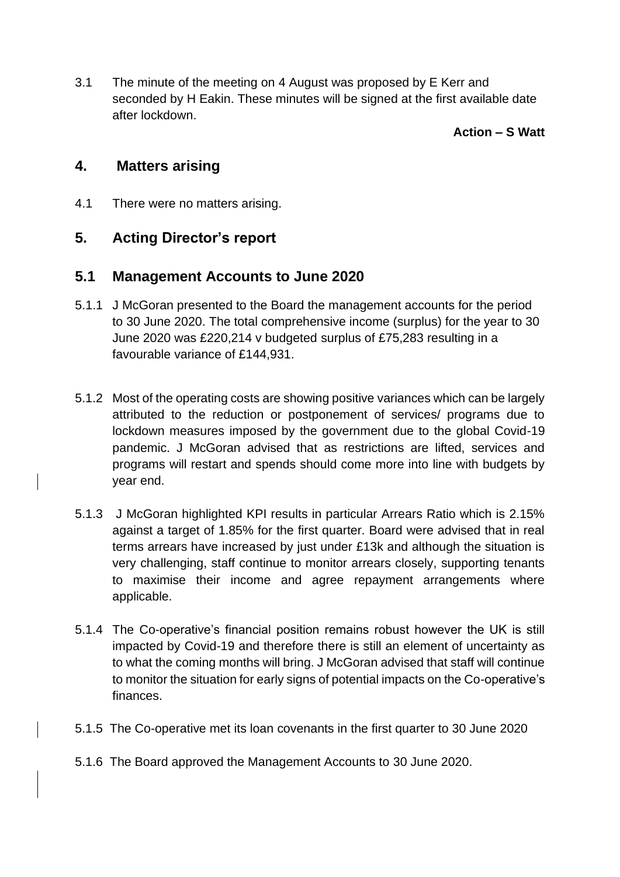3.1 The minute of the meeting on 4 August was proposed by E Kerr and seconded by H Eakin. These minutes will be signed at the first available date after lockdown.

#### **Action – S Watt**

## **4. Matters arising**

4.1 There were no matters arising.

## **5. Acting Director's report**

## **5.1 Management Accounts to June 2020**

- 5.1.1 J McGoran presented to the Board the management accounts for the period to 30 June 2020. The total comprehensive income (surplus) for the year to 30 June 2020 was £220,214 v budgeted surplus of £75,283 resulting in a favourable variance of £144,931.
- 5.1.2 Most of the operating costs are showing positive variances which can be largely attributed to the reduction or postponement of services/ programs due to lockdown measures imposed by the government due to the global Covid-19 pandemic. J McGoran advised that as restrictions are lifted, services and programs will restart and spends should come more into line with budgets by year end.
- 5.1.3 J McGoran highlighted KPI results in particular Arrears Ratio which is 2.15% against a target of 1.85% for the first quarter. Board were advised that in real terms arrears have increased by just under £13k and although the situation is very challenging, staff continue to monitor arrears closely, supporting tenants to maximise their income and agree repayment arrangements where applicable.
- 5.1.4 The Co-operative's financial position remains robust however the UK is still impacted by Covid-19 and therefore there is still an element of uncertainty as to what the coming months will bring. J McGoran advised that staff will continue to monitor the situation for early signs of potential impacts on the Co-operative's finances.
- 5.1.5 The Co-operative met its loan covenants in the first quarter to 30 June 2020
- 5.1.6 The Board approved the Management Accounts to 30 June 2020.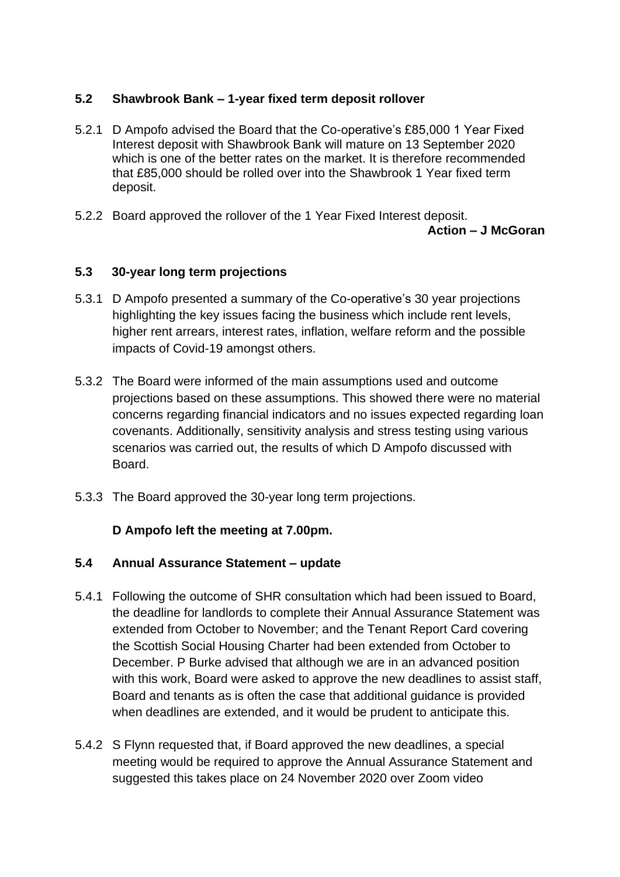## **5.2 Shawbrook Bank – 1-year fixed term deposit rollover**

- 5.2.1 D Ampofo advised the Board that the Co-operative's £85,000 1 Year Fixed Interest deposit with Shawbrook Bank will mature on 13 September 2020 which is one of the better rates on the market. It is therefore recommended that £85,000 should be rolled over into the Shawbrook 1 Year fixed term deposit.
- 5.2.2 Board approved the rollover of the 1 Year Fixed Interest deposit. **Action – J McGoran**

## **5.3 30-year long term projections**

- 5.3.1 D Ampofo presented a summary of the Co-operative's 30 year projections highlighting the key issues facing the business which include rent levels, higher rent arrears, interest rates, inflation, welfare reform and the possible impacts of Covid-19 amongst others.
- 5.3.2 The Board were informed of the main assumptions used and outcome projections based on these assumptions. This showed there were no material concerns regarding financial indicators and no issues expected regarding loan covenants. Additionally, sensitivity analysis and stress testing using various scenarios was carried out, the results of which D Ampofo discussed with Board.
- 5.3.3 The Board approved the 30-year long term projections.

## **D Ampofo left the meeting at 7.00pm.**

## **5.4 Annual Assurance Statement – update**

- 5.4.1 Following the outcome of SHR consultation which had been issued to Board, the deadline for landlords to complete their Annual Assurance Statement was extended from October to November; and the Tenant Report Card covering the Scottish Social Housing Charter had been extended from October to December. P Burke advised that although we are in an advanced position with this work, Board were asked to approve the new deadlines to assist staff, Board and tenants as is often the case that additional guidance is provided when deadlines are extended, and it would be prudent to anticipate this.
- 5.4.2 S Flynn requested that, if Board approved the new deadlines, a special meeting would be required to approve the Annual Assurance Statement and suggested this takes place on 24 November 2020 over Zoom video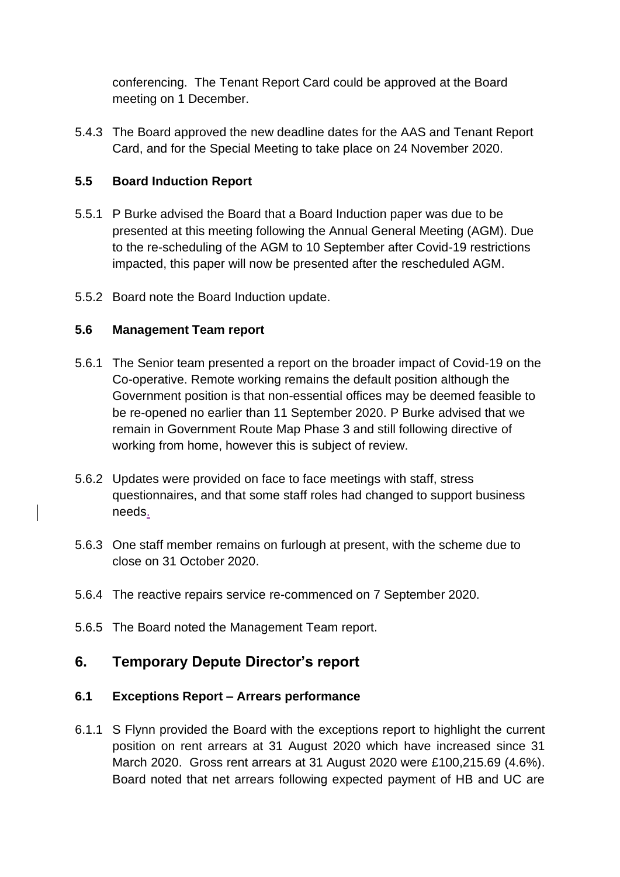conferencing. The Tenant Report Card could be approved at the Board meeting on 1 December.

5.4.3 The Board approved the new deadline dates for the AAS and Tenant Report Card, and for the Special Meeting to take place on 24 November 2020.

## **5.5 Board Induction Report**

- 5.5.1 P Burke advised the Board that a Board Induction paper was due to be presented at this meeting following the Annual General Meeting (AGM). Due to the re-scheduling of the AGM to 10 September after Covid-19 restrictions impacted, this paper will now be presented after the rescheduled AGM.
- 5.5.2 Board note the Board Induction update.

## **5.6 Management Team report**

- 5.6.1 The Senior team presented a report on the broader impact of Covid-19 on the Co-operative. Remote working remains the default position although the Government position is that non-essential offices may be deemed feasible to be re-opened no earlier than 11 September 2020. P Burke advised that we remain in Government Route Map Phase 3 and still following directive of working from home, however this is subject of review.
- 5.6.2 Updates were provided on face to face meetings with staff, stress questionnaires, and that some staff roles had changed to support business needs.
- 5.6.3 One staff member remains on furlough at present, with the scheme due to close on 31 October 2020.
- 5.6.4 The reactive repairs service re-commenced on 7 September 2020.
- 5.6.5 The Board noted the Management Team report.

# **6. Temporary Depute Director's report**

## **6.1 Exceptions Report – Arrears performance**

6.1.1 S Flynn provided the Board with the exceptions report to highlight the current position on rent arrears at 31 August 2020 which have increased since 31 March 2020. Gross rent arrears at 31 August 2020 were £100,215.69 (4.6%). Board noted that net arrears following expected payment of HB and UC are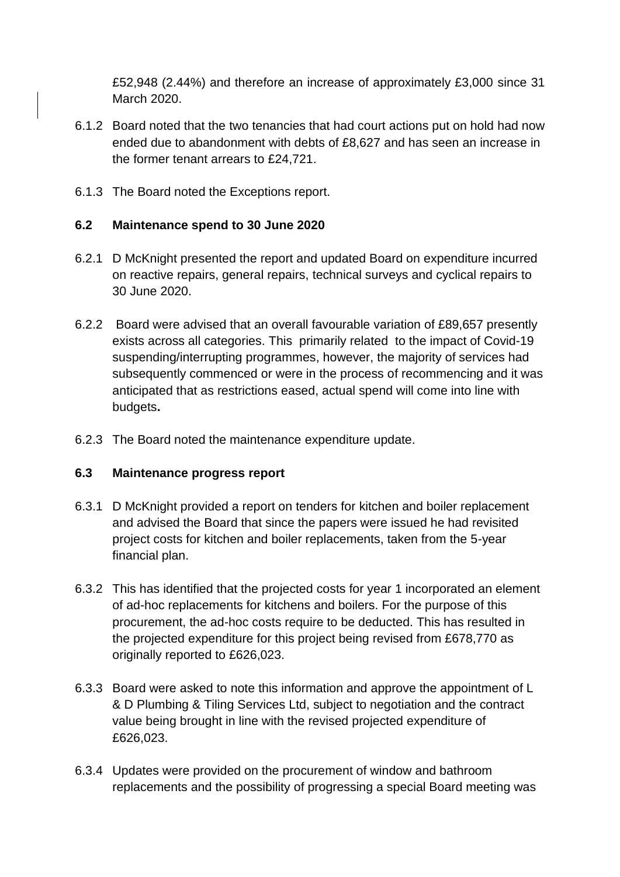£52,948 (2.44%) and therefore an increase of approximately £3,000 since 31 March 2020.

- 6.1.2 Board noted that the two tenancies that had court actions put on hold had now ended due to abandonment with debts of £8,627 and has seen an increase in the former tenant arrears to £24,721.
- 6.1.3 The Board noted the Exceptions report.

#### **6.2 Maintenance spend to 30 June 2020**

- 6.2.1 D McKnight presented the report and updated Board on expenditure incurred on reactive repairs, general repairs, technical surveys and cyclical repairs to 30 June 2020.
- 6.2.2 Board were advised that an overall favourable variation of £89,657 presently exists across all categories. This primarily related to the impact of Covid-19 suspending/interrupting programmes, however, the majority of services had subsequently commenced or were in the process of recommencing and it was anticipated that as restrictions eased, actual spend will come into line with budgets**.**
- 6.2.3 The Board noted the maintenance expenditure update.

#### **6.3 Maintenance progress report**

- 6.3.1 D McKnight provided a report on tenders for kitchen and boiler replacement and advised the Board that since the papers were issued he had revisited project costs for kitchen and boiler replacements, taken from the 5-year financial plan.
- 6.3.2 This has identified that the projected costs for year 1 incorporated an element of ad-hoc replacements for kitchens and boilers. For the purpose of this procurement, the ad-hoc costs require to be deducted. This has resulted in the projected expenditure for this project being revised from £678,770 as originally reported to £626,023.
- 6.3.3 Board were asked to note this information and approve the appointment of L & D Plumbing & Tiling Services Ltd, subject to negotiation and the contract value being brought in line with the revised projected expenditure of £626,023.
- 6.3.4 Updates were provided on the procurement of window and bathroom replacements and the possibility of progressing a special Board meeting was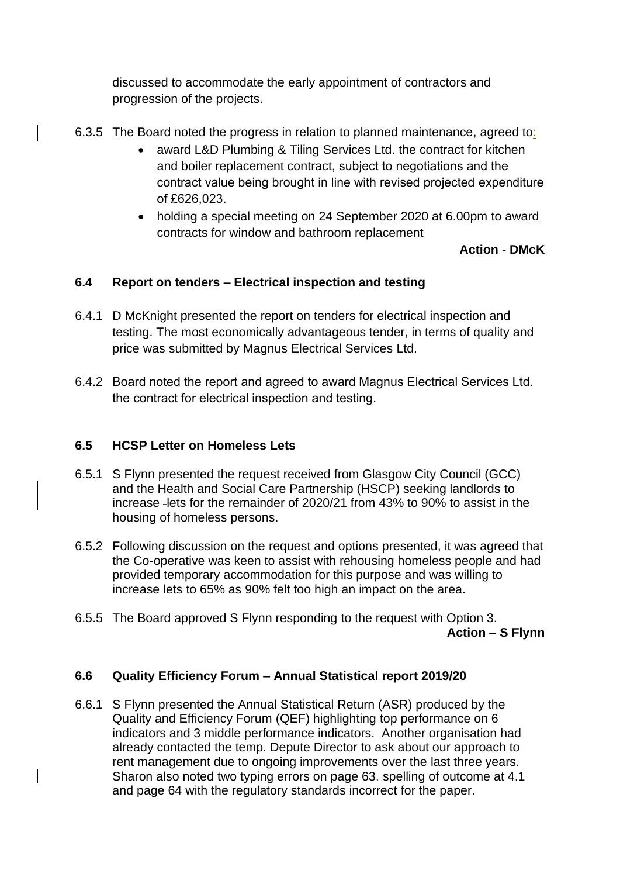discussed to accommodate the early appointment of contractors and progression of the projects.

- 6.3.5 The Board noted the progress in relation to planned maintenance, agreed to:
	- award L&D Plumbing & Tiling Services Ltd. the contract for kitchen and boiler replacement contract, subject to negotiations and the contract value being brought in line with revised projected expenditure of £626,023.
	- holding a special meeting on 24 September 2020 at 6.00pm to award contracts for window and bathroom replacement

## **Action - DMcK**

## **6.4 Report on tenders – Electrical inspection and testing**

- 6.4.1 D McKnight presented the report on tenders for electrical inspection and testing. The most economically advantageous tender, in terms of quality and price was submitted by Magnus Electrical Services Ltd.
- 6.4.2 Board noted the report and agreed to award Magnus Electrical Services Ltd. the contract for electrical inspection and testing.

## **6.5 HCSP Letter on Homeless Lets**

- 6.5.1 S Flynn presented the request received from Glasgow City Council (GCC) and the Health and Social Care Partnership (HSCP) seeking landlords to increase lets for the remainder of 2020/21 from 43% to 90% to assist in the housing of homeless persons.
- 6.5.2 Following discussion on the request and options presented, it was agreed that the Co-operative was keen to assist with rehousing homeless people and had provided temporary accommodation for this purpose and was willing to increase lets to 65% as 90% felt too high an impact on the area.
- 6.5.5 The Board approved S Flynn responding to the request with Option 3. **Action – S Flynn**

## **6.6 Quality Efficiency Forum – Annual Statistical report 2019/20**

6.6.1 S Flynn presented the Annual Statistical Return (ASR) produced by the Quality and Efficiency Forum (QEF) highlighting top performance on 6 indicators and 3 middle performance indicators. Another organisation had already contacted the temp. Depute Director to ask about our approach to rent management due to ongoing improvements over the last three years. Sharon also noted two typing errors on page 63-spelling of outcome at 4.1 and page 64 with the regulatory standards incorrect for the paper.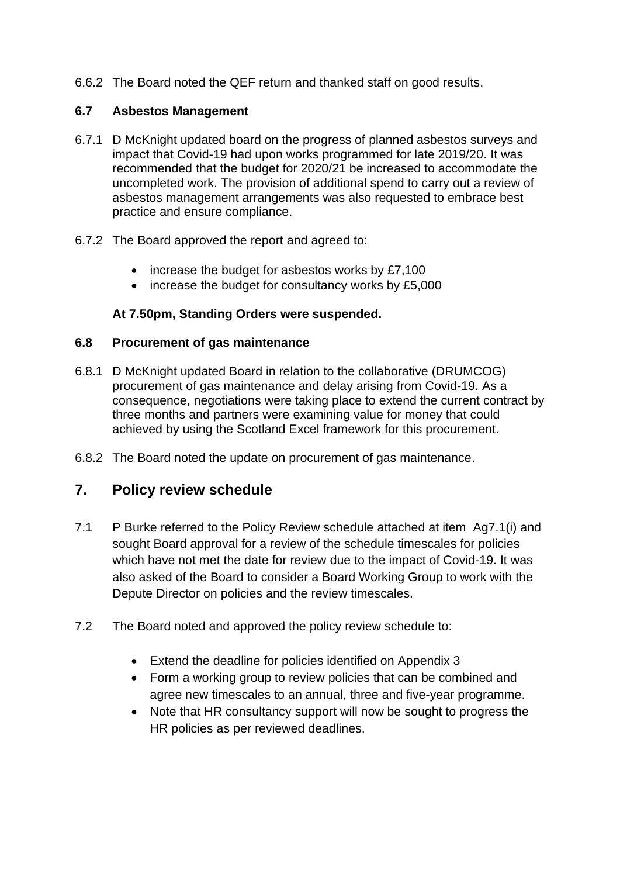6.6.2 The Board noted the QEF return and thanked staff on good results.

#### **6.7 Asbestos Management**

- 6.7.1 D McKnight updated board on the progress of planned asbestos surveys and impact that Covid-19 had upon works programmed for late 2019/20. It was recommended that the budget for 2020/21 be increased to accommodate the uncompleted work. The provision of additional spend to carry out a review of asbestos management arrangements was also requested to embrace best practice and ensure compliance.
- 6.7.2 The Board approved the report and agreed to:
	- increase the budget for asbestos works by £7,100
	- increase the budget for consultancy works by £5,000

## **At 7.50pm, Standing Orders were suspended.**

#### **6.8 Procurement of gas maintenance**

- 6.8.1 D McKnight updated Board in relation to the collaborative (DRUMCOG) procurement of gas maintenance and delay arising from Covid-19. As a consequence, negotiations were taking place to extend the current contract by three months and partners were examining value for money that could achieved by using the Scotland Excel framework for this procurement.
- 6.8.2 The Board noted the update on procurement of gas maintenance.

## **7. Policy review schedule**

- 7.1 P Burke referred to the Policy Review schedule attached at item Ag7.1(i) and sought Board approval for a review of the schedule timescales for policies which have not met the date for review due to the impact of Covid-19. It was also asked of the Board to consider a Board Working Group to work with the Depute Director on policies and the review timescales.
- 7.2 The Board noted and approved the policy review schedule to:
	- Extend the deadline for policies identified on Appendix 3
	- Form a working group to review policies that can be combined and agree new timescales to an annual, three and five-year programme.
	- Note that HR consultancy support will now be sought to progress the HR policies as per reviewed deadlines.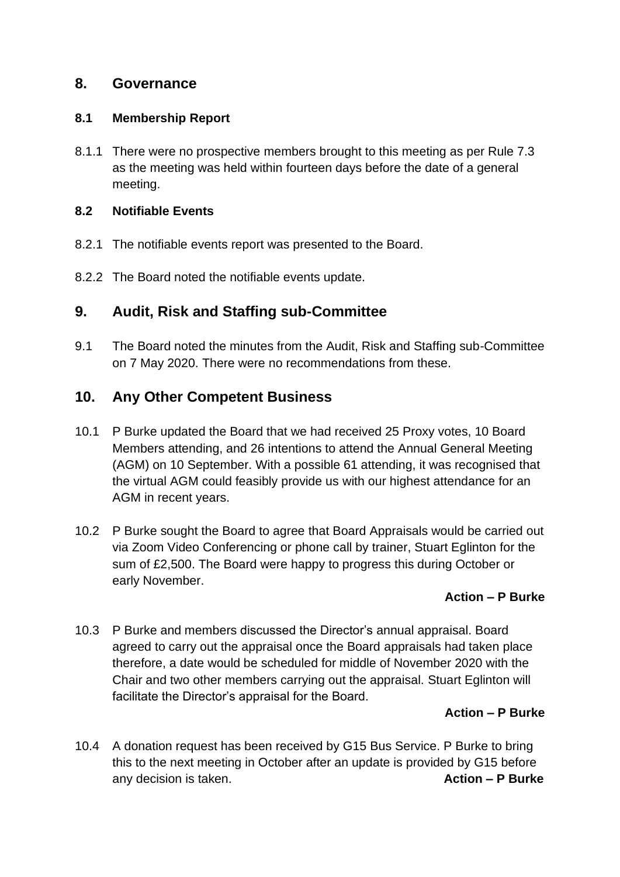## **8. Governance**

#### **8.1 Membership Report**

8.1.1 There were no prospective members brought to this meeting as per Rule 7.3 as the meeting was held within fourteen days before the date of a general meeting.

#### **8.2 Notifiable Events**

- 8.2.1 The notifiable events report was presented to the Board.
- 8.2.2 The Board noted the notifiable events update.

## **9. Audit, Risk and Staffing sub-Committee**

9.1 The Board noted the minutes from the Audit, Risk and Staffing sub-Committee on 7 May 2020. There were no recommendations from these.

## **10. Any Other Competent Business**

- 10.1 P Burke updated the Board that we had received 25 Proxy votes, 10 Board Members attending, and 26 intentions to attend the Annual General Meeting (AGM) on 10 September. With a possible 61 attending, it was recognised that the virtual AGM could feasibly provide us with our highest attendance for an AGM in recent years.
- 10.2 P Burke sought the Board to agree that Board Appraisals would be carried out via Zoom Video Conferencing or phone call by trainer, Stuart Eglinton for the sum of £2,500. The Board were happy to progress this during October or early November.

## **Action – P Burke**

10.3 P Burke and members discussed the Director's annual appraisal. Board agreed to carry out the appraisal once the Board appraisals had taken place therefore, a date would be scheduled for middle of November 2020 with the Chair and two other members carrying out the appraisal. Stuart Eglinton will facilitate the Director's appraisal for the Board.

## **Action – P Burke**

10.4 A donation request has been received by G15 Bus Service. P Burke to bring this to the next meeting in October after an update is provided by G15 before any decision is taken. **Action – P Burke Action – P Burke**